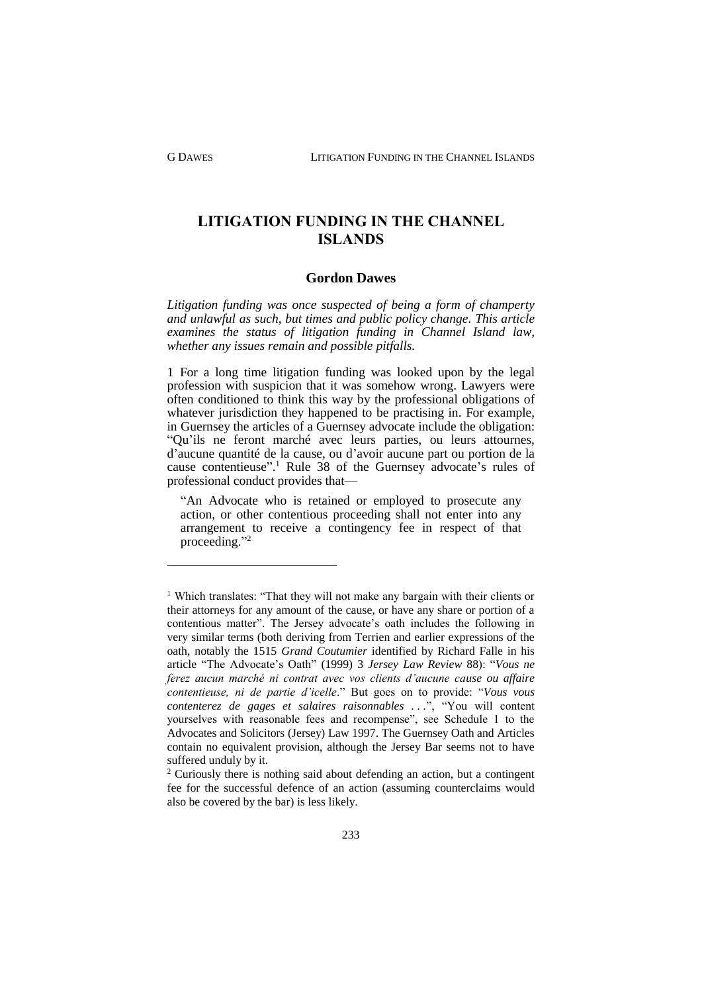G DAWES LITIGATION FUNDING IN THE CHANNEL ISLANDS

**LITIGATION FUNDING IN THE CHANNEL ISLANDS**

## **Gordon Dawes**

*Litigation funding was once suspected of being a form of champerty and unlawful as such, but times and public policy change. This article examines the status of litigation funding in Channel Island law, whether any issues remain and possible pitfalls.*

1 For a long time litigation funding was looked upon by the legal profession with suspicion that it was somehow wrong. Lawyers were often conditioned to think this way by the professional obligations of whatever jurisdiction they happened to be practising in. For example, in Guernsey the articles of a Guernsey advocate include the obligation: "Qu'ils ne feront marché avec leurs parties, ou leurs attournes, d'aucune quantité de la cause, ou d'avoir aucune part ou portion de la cause contentieuse". <sup>1</sup> Rule 38 of the Guernsey advocate's rules of professional conduct provides that—

"An Advocate who is retained or employed to prosecute any action, or other contentious proceeding shall not enter into any arrangement to receive a contingency fee in respect of that proceeding."<sup>2</sup>

<sup>&</sup>lt;sup>1</sup> Which translates: "That they will not make any bargain with their clients or their attorneys for any amount of the cause, or have any share or portion of a contentious matter". The Jersey advocate's oath includes the following in very similar terms (both deriving from Terrien and earlier expressions of the oath, notably the 1515 *Grand Coutumier* identified by Richard Falle in his article "The Advocate's Oath" (1999) 3 *Jersey Law Review* 88): "*Vous ne ferez aucun marché ni contrat avec vos clients d'aucune cause ou affaire contentieuse, ni de partie d'icelle*." But goes on to provide: "*Vous vous contenterez de gages et salaires raisonnables . . .*", "You will content yourselves with reasonable fees and recompense", see Schedule 1 to the Advocates and Solicitors (Jersey) Law 1997. The Guernsey Oath and Articles contain no equivalent provision, although the Jersey Bar seems not to have suffered unduly by it.

 $2$  Curiously there is nothing said about defending an action, but a contingent fee for the successful defence of an action (assuming counterclaims would also be covered by the bar) is less likely.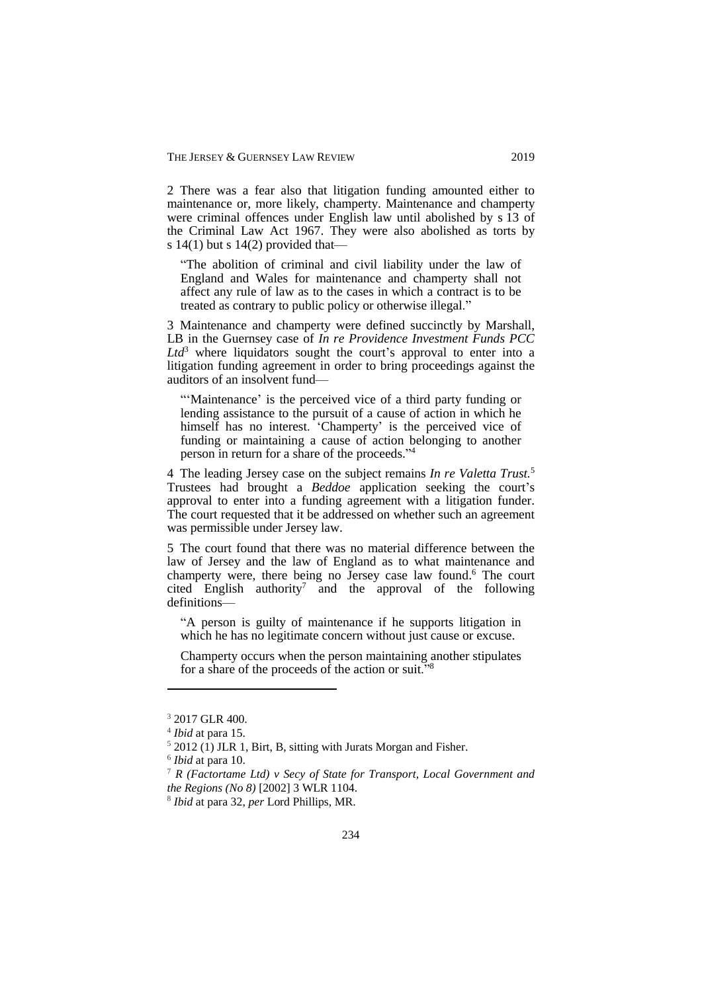2 There was a fear also that litigation funding amounted either to maintenance or, more likely, champerty. Maintenance and champerty were criminal offences under English law until abolished by s 13 of the Criminal Law Act 1967. They were also abolished as torts by s  $14(1)$  but s  $14(2)$  provided that—

"The abolition of criminal and civil liability under the law of England and Wales for maintenance and champerty shall not affect any rule of law as to the cases in which a contract is to be treated as contrary to public policy or otherwise illegal."

3 Maintenance and champerty were defined succinctly by Marshall, LB in the Guernsey case of *In re Providence Investment Funds PCC*   $Ltd^3$  where liquidators sought the court's approval to enter into a litigation funding agreement in order to bring proceedings against the auditors of an insolvent fund—

"'Maintenance' is the perceived vice of a third party funding or lending assistance to the pursuit of a cause of action in which he himself has no interest. 'Champerty' is the perceived vice of funding or maintaining a cause of action belonging to another person in return for a share of the proceeds." 4

4 The leading Jersey case on the subject remains *In re Valetta Trust.* 5 Trustees had brought a *Beddoe* application seeking the court's approval to enter into a funding agreement with a litigation funder. The court requested that it be addressed on whether such an agreement was permissible under Jersey law.

5 The court found that there was no material difference between the law of Jersey and the law of England as to what maintenance and champerty were, there being no Jersey case law found. <sup>6</sup> The court cited English authority<sup>7</sup> and the approval of the following definitions—

"A person is guilty of maintenance if he supports litigation in which he has no legitimate concern without just cause or excuse.

Champerty occurs when the person maintaining another stipulates for a share of the proceeds of the action or suit." $8$ 

<sup>&</sup>lt;sup>3</sup> 2017 GLR 400.

<sup>4</sup> *Ibid* at para 15.

 $5$  2012 (1) JLR 1, Birt, B, sitting with Jurats Morgan and Fisher.

<sup>6</sup> *Ibid* at para 10.

<sup>7</sup> *R (Factortame Ltd) v Secy of State for Transport, Local Government and the Regions (No 8)* [2002] 3 WLR 1104.

<sup>8</sup> *Ibid* at para 32, *per* Lord Phillips, MR.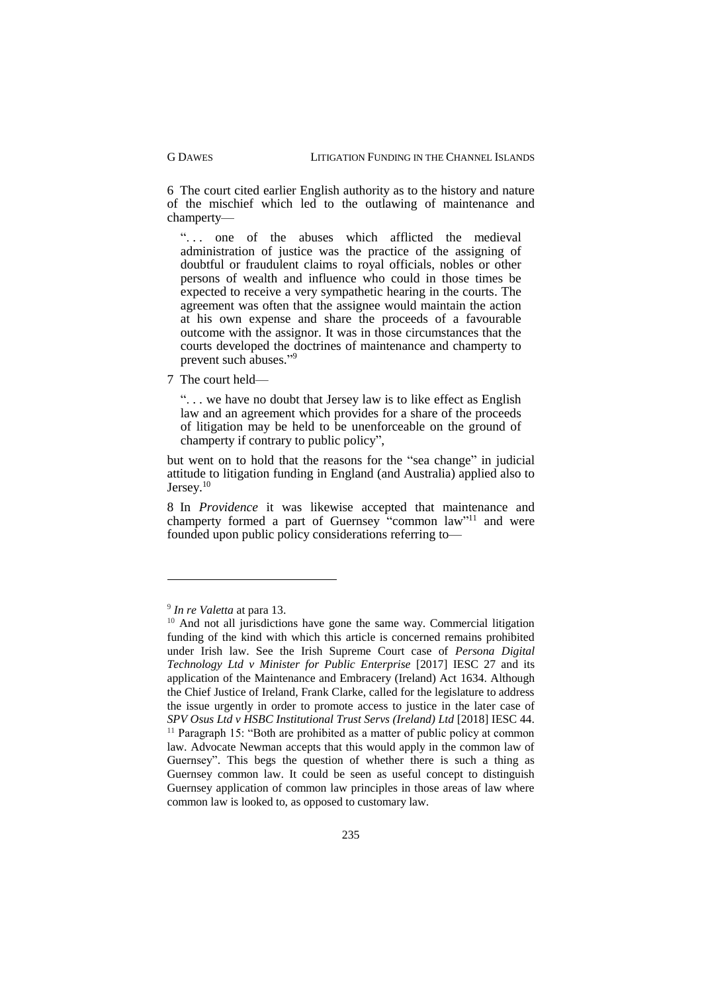6 The court cited earlier English authority as to the history and nature of the mischief which led to the outlawing of maintenance and champerty—

"... one of the abuses which afflicted the medieval administration of justice was the practice of the assigning of doubtful or fraudulent claims to royal officials, nobles or other persons of wealth and influence who could in those times be expected to receive a very sympathetic hearing in the courts. The agreement was often that the assignee would maintain the action at his own expense and share the proceeds of a favourable outcome with the assignor. It was in those circumstances that the courts developed the doctrines of maintenance and champerty to prevent such abuses." 9

7 The court held—

". . . we have no doubt that Jersey law is to like effect as English law and an agreement which provides for a share of the proceeds of litigation may be held to be unenforceable on the ground of champerty if contrary to public policy",

but went on to hold that the reasons for the "sea change" in judicial attitude to litigation funding in England (and Australia) applied also to Jersey.<sup>10</sup>

8 In *Providence* it was likewise accepted that maintenance and champerty formed a part of Guernsey "common law"<sup>11</sup> and were founded upon public policy considerations referring to—

<sup>9</sup> *In re Valetta* at para 13.

<sup>&</sup>lt;sup>10</sup> And not all jurisdictions have gone the same way. Commercial litigation funding of the kind with which this article is concerned remains prohibited under Irish law. See the Irish Supreme Court case of *Persona Digital Technology Ltd v Minister for Public Enterprise* [2017] IESC 27 and its application of the Maintenance and Embracery (Ireland) Act 1634. Although the Chief Justice of Ireland, Frank Clarke, called for the legislature to address the issue urgently in order to promote access to justice in the later case of *SPV Osus Ltd v HSBC Institutional Trust Servs (Ireland) Ltd* [2018] IESC 44. <sup>11</sup> Paragraph 15: "Both are prohibited as a matter of public policy at common law. Advocate Newman accepts that this would apply in the common law of Guernsey". This begs the question of whether there is such a thing as Guernsey common law. It could be seen as useful concept to distinguish Guernsey application of common law principles in those areas of law where common law is looked to, as opposed to customary law.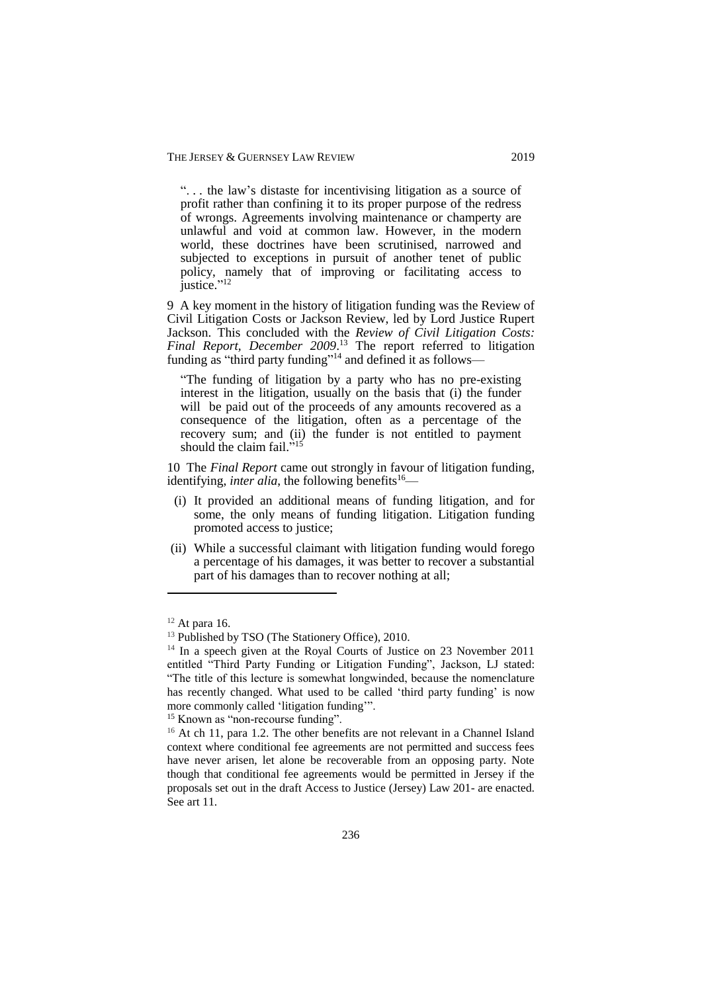". . . the law's distaste for incentivising litigation as a source of profit rather than confining it to its proper purpose of the redress of wrongs. Agreements involving maintenance or champerty are unlawful and void at common law. However, in the modern world, these doctrines have been scrutinised, narrowed and subjected to exceptions in pursuit of another tenet of public policy, namely that of improving or facilitating access to justice." 12

9 A key moment in the history of litigation funding was the Review of Civil Litigation Costs or Jackson Review, led by Lord Justice Rupert Jackson. This concluded with the *Review of Civil Litigation Costs: Final Report, December 2009*. <sup>13</sup> The report referred to litigation funding as "third party funding"<sup>14</sup> and defined it as follows—

"The funding of litigation by a party who has no pre-existing interest in the litigation, usually on the basis that (i) the funder will be paid out of the proceeds of any amounts recovered as a consequence of the litigation, often as a percentage of the recovery sum; and (ii) the funder is not entitled to payment should the claim fail."<sup>15</sup>

10 The *Final Report* came out strongly in favour of litigation funding, identifying, *inter alia*, the following benefits<sup>16</sup>—

- (i) It provided an additional means of funding litigation, and for some, the only means of funding litigation. Litigation funding promoted access to justice;
- i(ii) While a successful claimant with litigation funding would forego a percentage of his damages, it was better to recover a substantial part of his damages than to recover nothing at all;

1

<sup>15</sup> Known as "non-recourse funding".

 $12$  At para 16.

<sup>&</sup>lt;sup>13</sup> Published by TSO (The Stationery Office), 2010.

<sup>&</sup>lt;sup>14</sup> In a speech given at the Royal Courts of Justice on 23 November 2011 entitled "Third Party Funding or Litigation Funding", Jackson, LJ stated: "The title of this lecture is somewhat longwinded, because the nomenclature has recently changed. What used to be called 'third party funding' is now more commonly called 'litigation funding'".

<sup>&</sup>lt;sup>16</sup> At ch 11, para 1.2. The other benefits are not relevant in a Channel Island context where conditional fee agreements are not permitted and success fees have never arisen, let alone be recoverable from an opposing party. Note though that conditional fee agreements would be permitted in Jersey if the proposals set out in the draft Access to Justice (Jersey) Law 201- are enacted. See art 11.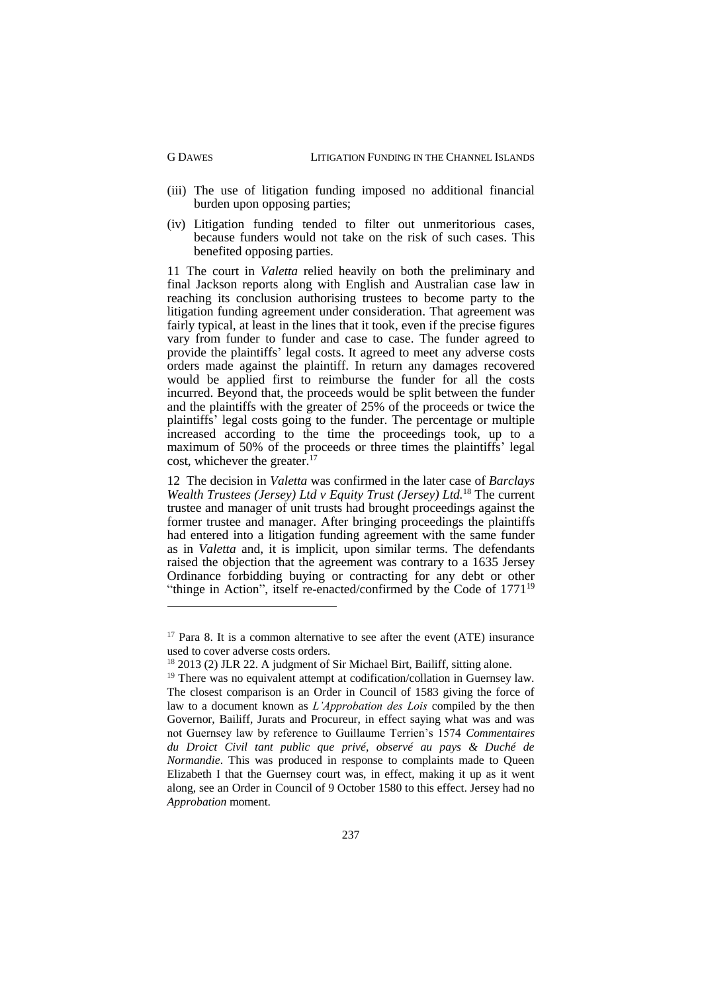- (iii) The use of litigation funding imposed no additional financial burden upon opposing parties;
- (iv) Litigation funding tended to filter out unmeritorious cases, because funders would not take on the risk of such cases. This benefited opposing parties.

11 The court in *Valetta* relied heavily on both the preliminary and final Jackson reports along with English and Australian case law in reaching its conclusion authorising trustees to become party to the litigation funding agreement under consideration. That agreement was fairly typical, at least in the lines that it took, even if the precise figures vary from funder to funder and case to case. The funder agreed to provide the plaintiffs' legal costs. It agreed to meet any adverse costs orders made against the plaintiff. In return any damages recovered would be applied first to reimburse the funder for all the costs incurred. Beyond that, the proceeds would be split between the funder and the plaintiffs with the greater of 25% of the proceeds or twice the plaintiffs' legal costs going to the funder. The percentage or multiple increased according to the time the proceedings took, up to a maximum of 50% of the proceeds or three times the plaintiffs' legal cost, whichever the greater.<sup>17</sup>

12 The decision in *Valetta* was confirmed in the later case of *Barclays Wealth Trustees (Jersey) Ltd v Equity Trust (Jersey) Ltd.* <sup>18</sup> The current trustee and manager of unit trusts had brought proceedings against the former trustee and manager. After bringing proceedings the plaintiffs had entered into a litigation funding agreement with the same funder as in *Valetta* and, it is implicit, upon similar terms. The defendants raised the objection that the agreement was contrary to a 1635 Jersey Ordinance forbidding buying or contracting for any debt or other "thinge in Action", itself re-enacted/confirmed by the Code of  $1771^{19}$ 

 $17$  Para 8. It is a common alternative to see after the event (ATE) insurance used to cover adverse costs orders.

<sup>&</sup>lt;sup>18</sup> 2013 (2) JLR 22. A judgment of Sir Michael Birt, Bailiff, sitting alone.

 $19$  There was no equivalent attempt at codification/collation in Guernsey law. The closest comparison is an Order in Council of 1583 giving the force of law to a document known as *L'Approbation des Lois* compiled by the then Governor, Bailiff, Jurats and Procureur, in effect saying what was and was not Guernsey law by reference to Guillaume Terrien's 1574 *Commentaires du Droict Civil tant public que privé, observé au pays & Duché de Normandie*. This was produced in response to complaints made to Oueen Elizabeth I that the Guernsey court was, in effect, making it up as it went along, see an Order in Council of 9 October 1580 to this effect. Jersey had no *Approbation* moment.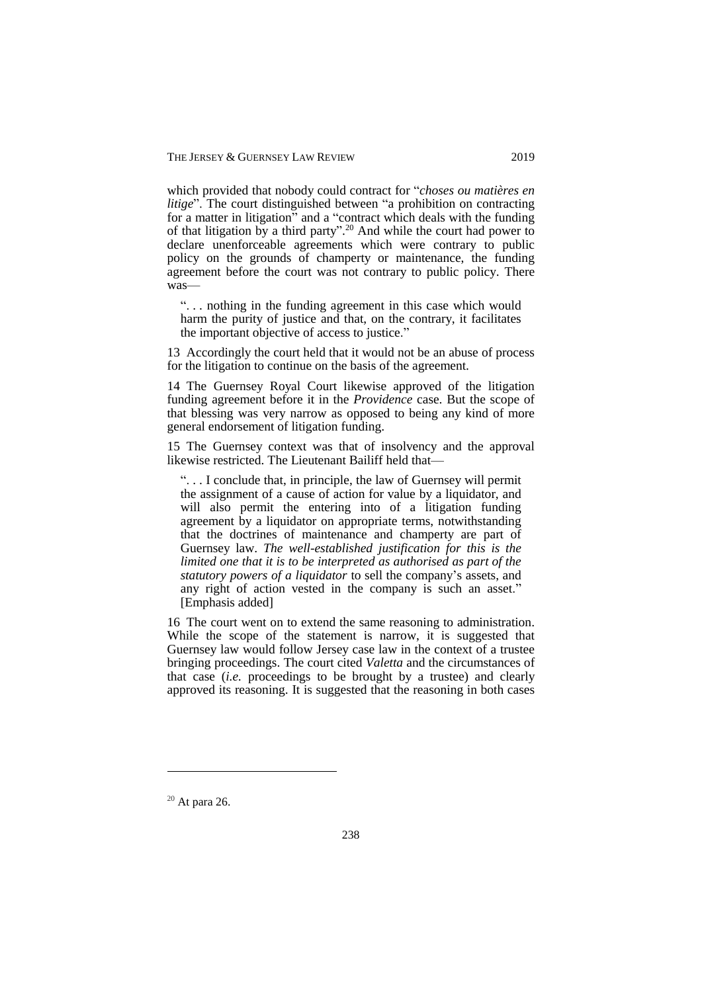which provided that nobody could contract for "*choses ou matières en litige*". The court distinguished between "a prohibition on contracting for a matter in litigation" and a "contract which deals with the funding of that litigation by a third party". <sup>20</sup> And while the court had power to declare unenforceable agreements which were contrary to public policy on the grounds of champerty or maintenance, the funding agreement before the court was not contrary to public policy. There was—

". . . nothing in the funding agreement in this case which would harm the purity of justice and that, on the contrary, it facilitates the important objective of access to justice."

13 Accordingly the court held that it would not be an abuse of process for the litigation to continue on the basis of the agreement.

14 The Guernsey Royal Court likewise approved of the litigation funding agreement before it in the *Providence* case. But the scope of that blessing was very narrow as opposed to being any kind of more general endorsement of litigation funding.

15 The Guernsey context was that of insolvency and the approval likewise restricted. The Lieutenant Bailiff held that—

". . . I conclude that, in principle, the law of Guernsey will permit the assignment of a cause of action for value by a liquidator, and will also permit the entering into of a litigation funding agreement by a liquidator on appropriate terms, notwithstanding that the doctrines of maintenance and champerty are part of Guernsey law. *The well-established justification for this is the limited one that it is to be interpreted as authorised as part of the statutory powers of a liquidator* to sell the company's assets, and any right of action vested in the company is such an asset." [Emphasis added]

16 The court went on to extend the same reasoning to administration. While the scope of the statement is narrow, it is suggested that Guernsey law would follow Jersey case law in the context of a trustee bringing proceedings. The court cited *Valetta* and the circumstances of that case (*i.e.* proceedings to be brought by a trustee) and clearly approved its reasoning. It is suggested that the reasoning in both cases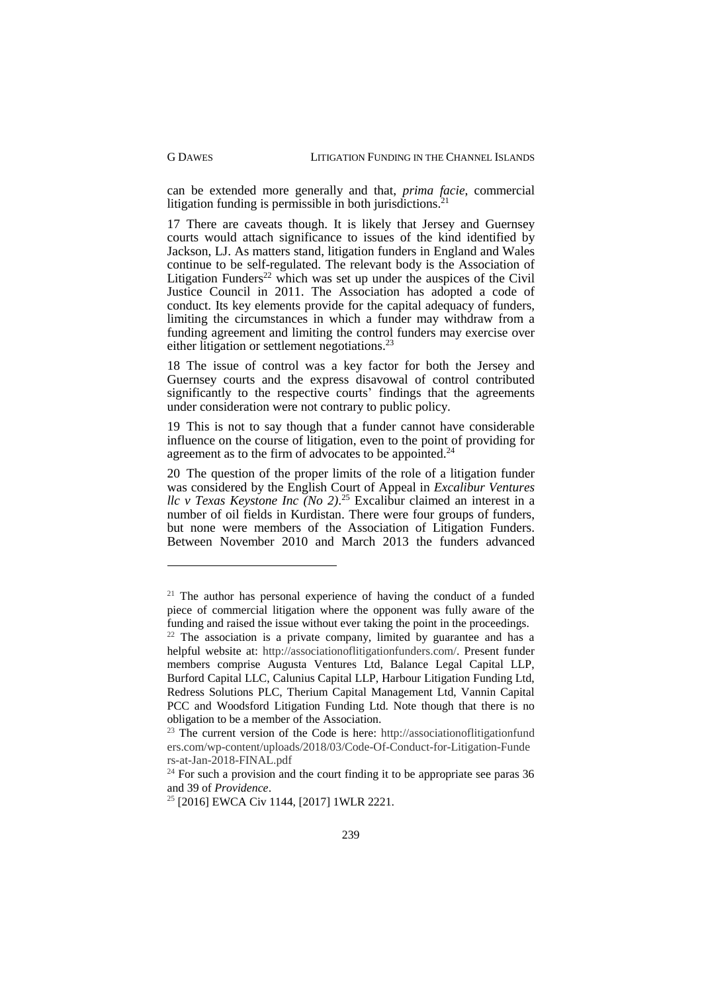1

can be extended more generally and that, *prima facie*, commercial litigation funding is permissible in both jurisdictions.<sup>2</sup>

17 There are caveats though. It is likely that Jersey and Guernsey courts would attach significance to issues of the kind identified by Jackson, LJ. As matters stand, litigation funders in England and Wales continue to be self-regulated. The relevant body is the Association of Litigation Funders<sup>22</sup> which was set up under the auspices of the Civil Justice Council in 2011. The Association has adopted a code of conduct. Its key elements provide for the capital adequacy of funders, limiting the circumstances in which a funder may withdraw from a funding agreement and limiting the control funders may exercise over either litigation or settlement negotiations.<sup>23</sup>

18 The issue of control was a key factor for both the Jersey and Guernsey courts and the express disavowal of control contributed significantly to the respective courts' findings that the agreements under consideration were not contrary to public policy.

19 This is not to say though that a funder cannot have considerable influence on the course of litigation, even to the point of providing for agreement as to the firm of advocates to be appointed.<sup>24</sup>

20 The question of the proper limits of the role of a litigation funder was considered by the English Court of Appeal in *Excalibur Ventures llc v Texas Keystone Inc (No 2)*. <sup>25</sup> Excalibur claimed an interest in a number of oil fields in Kurdistan. There were four groups of funders, but none were members of the Association of Litigation Funders. Between November 2010 and March 2013 the funders advanced

 $21$  The author has personal experience of having the conduct of a funded piece of commercial litigation where the opponent was fully aware of the funding and raised the issue without ever taking the point in the proceedings.

 $22$  The association is a private company, limited by guarantee and has a helpful website at: http://associationoflitigationfunders.com/. Present funder members comprise Augusta Ventures Ltd, Balance Legal Capital LLP, Burford Capital LLC, Calunius Capital LLP, Harbour Litigation Funding Ltd, Redress Solutions PLC, Therium Capital Management Ltd, Vannin Capital PCC and Woodsford Litigation Funding Ltd. Note though that there is no obligation to be a member of the Association.

 $23$  The current version of the Code is here: http://associationoflitigationfund ers.com/wp-content/uploads/2018/03/Code-Of-Conduct-for-Litigation-Funde rs-at-Jan-2018-FINAL.pdf

<sup>&</sup>lt;sup>24</sup> For such a provision and the court finding it to be appropriate see paras 36 and 39 of *Providence*.

<sup>&</sup>lt;sup>25</sup> [2016] EWCA Civ 1144, [2017] 1WLR 2221.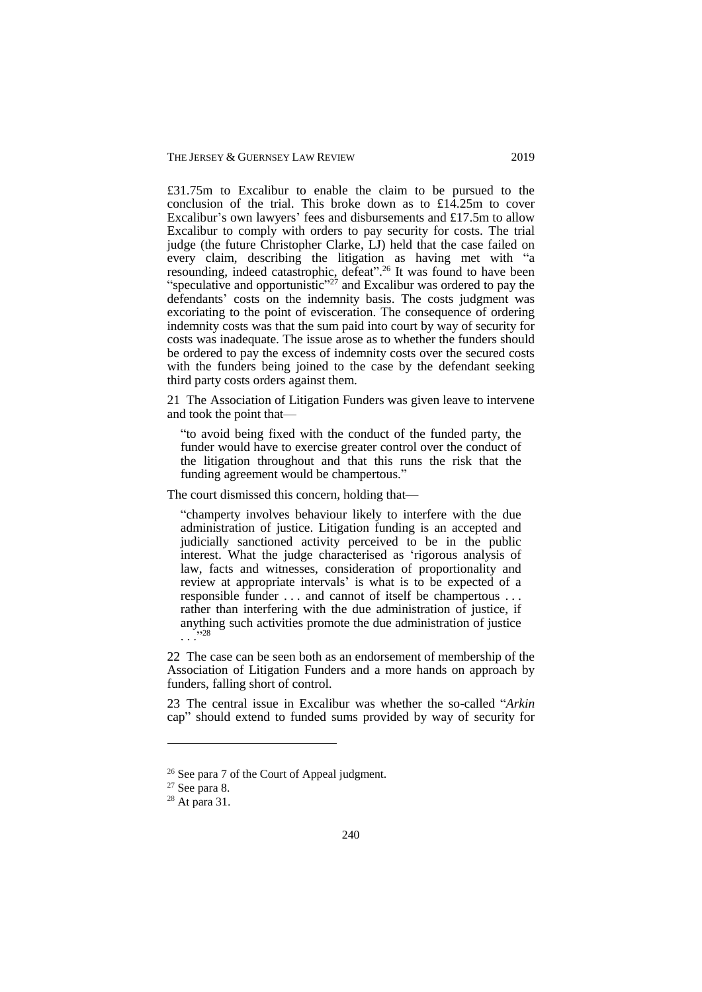£31.75m to Excalibur to enable the claim to be pursued to the conclusion of the trial. This broke down as to £14.25m to cover Excalibur's own lawyers' fees and disbursements and £17.5m to allow Excalibur to comply with orders to pay security for costs. The trial judge (the future Christopher Clarke, LJ) held that the case failed on every claim, describing the litigation as having met with "a resounding, indeed catastrophic, defeat".<sup>26</sup> It was found to have been "speculative and opportunistic"<sup>27</sup> and Excalibur was ordered to pay the defendants' costs on the indemnity basis. The costs judgment was excoriating to the point of evisceration. The consequence of ordering indemnity costs was that the sum paid into court by way of security for costs was inadequate. The issue arose as to whether the funders should be ordered to pay the excess of indemnity costs over the secured costs with the funders being joined to the case by the defendant seeking third party costs orders against them.

21 The Association of Litigation Funders was given leave to intervene and took the point that—

"to avoid being fixed with the conduct of the funded party, the funder would have to exercise greater control over the conduct of the litigation throughout and that this runs the risk that the funding agreement would be champertous."

The court dismissed this concern, holding that—

"champerty involves behaviour likely to interfere with the due administration of justice. Litigation funding is an accepted and judicially sanctioned activity perceived to be in the public interest. What the judge characterised as 'rigorous analysis of law, facts and witnesses, consideration of proportionality and review at appropriate intervals' is what is to be expected of a responsible funder . . . and cannot of itself be champertous . . . rather than interfering with the due administration of justice, if anything such activities promote the due administration of justice  $\cdots^{28}$ 

22 The case can be seen both as an endorsement of membership of the Association of Litigation Funders and a more hands on approach by funders, falling short of control.

23 The central issue in Excalibur was whether the so-called "*Arkin* cap" should extend to funded sums provided by way of security for

<sup>&</sup>lt;sup>26</sup> See para 7 of the Court of Appeal judgment.

 $27$  See para 8.

 $28$  At para 31.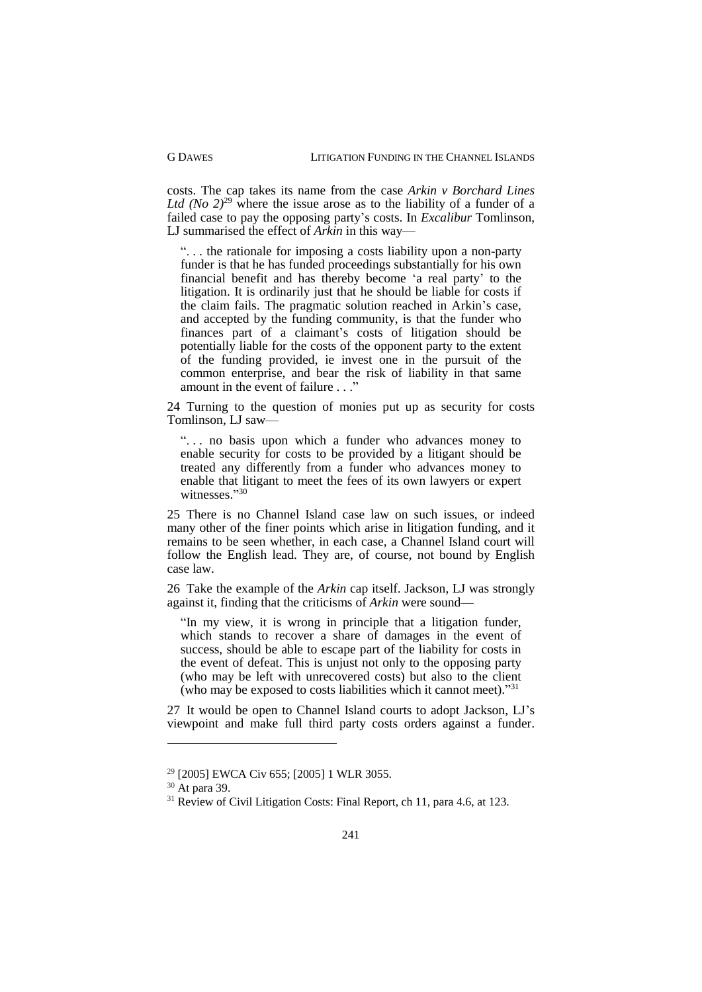costs. The cap takes its name from the case *Arkin v Borchard Lines Ltd (No*  $2)^{29}$  where the issue arose as to the liability of a funder of a failed case to pay the opposing party's costs. In *Excalibur* Tomlinson, LJ summarised the effect of *Arkin* in this way—

". . . the rationale for imposing a costs liability upon a non-party funder is that he has funded proceedings substantially for his own financial benefit and has thereby become 'a real party' to the litigation. It is ordinarily just that he should be liable for costs if the claim fails. The pragmatic solution reached in Arkin's case, and accepted by the funding community, is that the funder who finances part of a claimant's costs of litigation should be potentially liable for the costs of the opponent party to the extent of the funding provided, ie invest one in the pursuit of the common enterprise, and bear the risk of liability in that same amount in the event of failure . . ."

24 Turning to the question of monies put up as security for costs Tomlinson, LJ saw—

"... no basis upon which a funder who advances money to enable security for costs to be provided by a litigant should be treated any differently from a funder who advances money to enable that litigant to meet the fees of its own lawyers or expert witnesses."30

25 There is no Channel Island case law on such issues, or indeed many other of the finer points which arise in litigation funding, and it remains to be seen whether, in each case, a Channel Island court will follow the English lead. They are, of course, not bound by English case law.

26 Take the example of the *Arkin* cap itself. Jackson, LJ was strongly against it, finding that the criticisms of *Arkin* were sound—

"In my view, it is wrong in principle that a litigation funder, which stands to recover a share of damages in the event of success, should be able to escape part of the liability for costs in the event of defeat. This is unjust not only to the opposing party (who may be left with unrecovered costs) but also to the client (who may be exposed to costs liabilities which it cannot meet)."31

27 It would be open to Channel Island courts to adopt Jackson, LJ's viewpoint and make full third party costs orders against a funder.

<sup>29</sup> [2005] EWCA Civ 655; [2005] 1 WLR 3055.

<sup>30</sup> At para 39.

 $31$  Review of Civil Litigation Costs: Final Report, ch 11, para 4.6, at 123.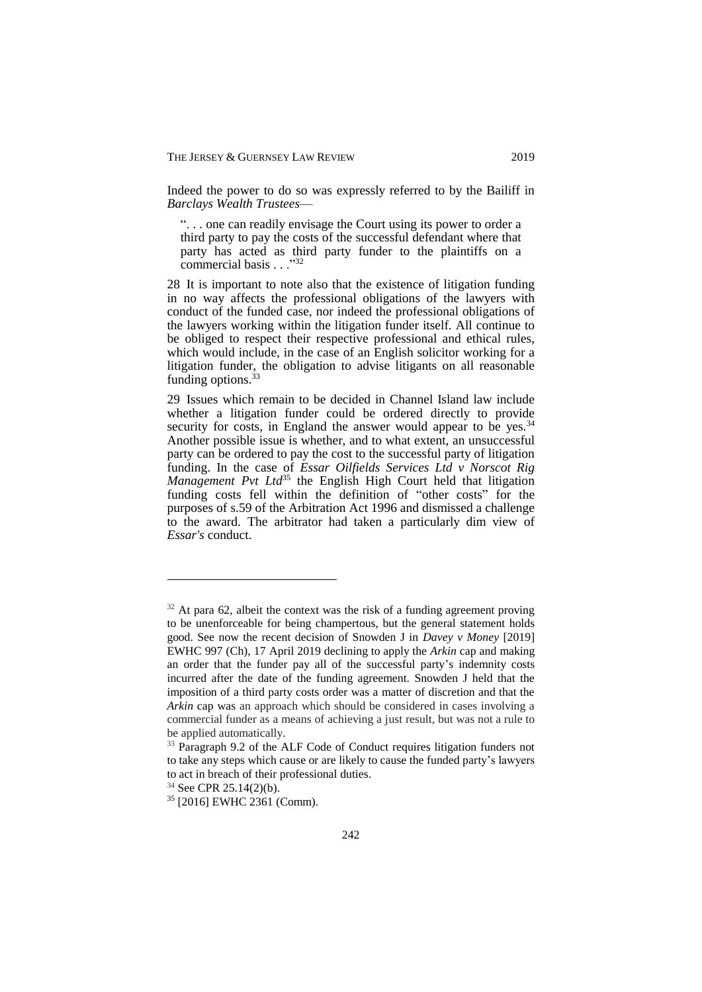Indeed the power to do so was expressly referred to by the Bailiff in *Barclays Wealth Trustees*—

". . . one can readily envisage the Court using its power to order a third party to pay the costs of the successful defendant where that party has acted as third party funder to the plaintiffs on a commercial basis  $\frac{1}{32}$ 

28 It is important to note also that the existence of litigation funding in no way affects the professional obligations of the lawyers with conduct of the funded case, nor indeed the professional obligations of the lawyers working within the litigation funder itself. All continue to be obliged to respect their respective professional and ethical rules, which would include, in the case of an English solicitor working for a litigation funder, the obligation to advise litigants on all reasonable funding options.<sup>33</sup>

29 Issues which remain to be decided in Channel Island law include whether a litigation funder could be ordered directly to provide security for costs, in England the answer would appear to be yes.<sup>34</sup> Another possible issue is whether, and to what extent, an unsuccessful party can be ordered to pay the cost to the successful party of litigation funding. In the case of *Essar Oilfields Services Ltd v Norscot Rig Management Pvt Ltd*<sup>35</sup> the English High Court held that litigation funding costs fell within the definition of "other costs" for the purposes of s.59 of the Arbitration Act 1996 and dismissed a challenge to the award. The arbitrator had taken a particularly dim view of *Essar's* conduct.

 $32$  At para 62, albeit the context was the risk of a funding agreement proving to be unenforceable for being champertous, but the general statement holds good. See now the recent decision of Snowden J in *Davey v Money* [2019] EWHC 997 (Ch), 17 April 2019 declining to apply the *Arkin* cap and making an order that the funder pay all of the successful party's indemnity costs incurred after the date of the funding agreement. Snowden J held that the imposition of a third party costs order was a matter of discretion and that the *Arkin* cap was an approach which should be considered in cases involving a commercial funder as a means of achieving a just result, but was not a rule to be applied automatically.

<sup>&</sup>lt;sup>33</sup> Paragraph 9.2 of the ALF Code of Conduct requires litigation funders not to take any steps which cause or are likely to cause the funded party's lawyers to act in breach of their professional duties.

<sup>&</sup>lt;sup>34</sup> See CPR 25.14(2)(b).

<sup>35</sup> [2016] EWHC 2361 (Comm).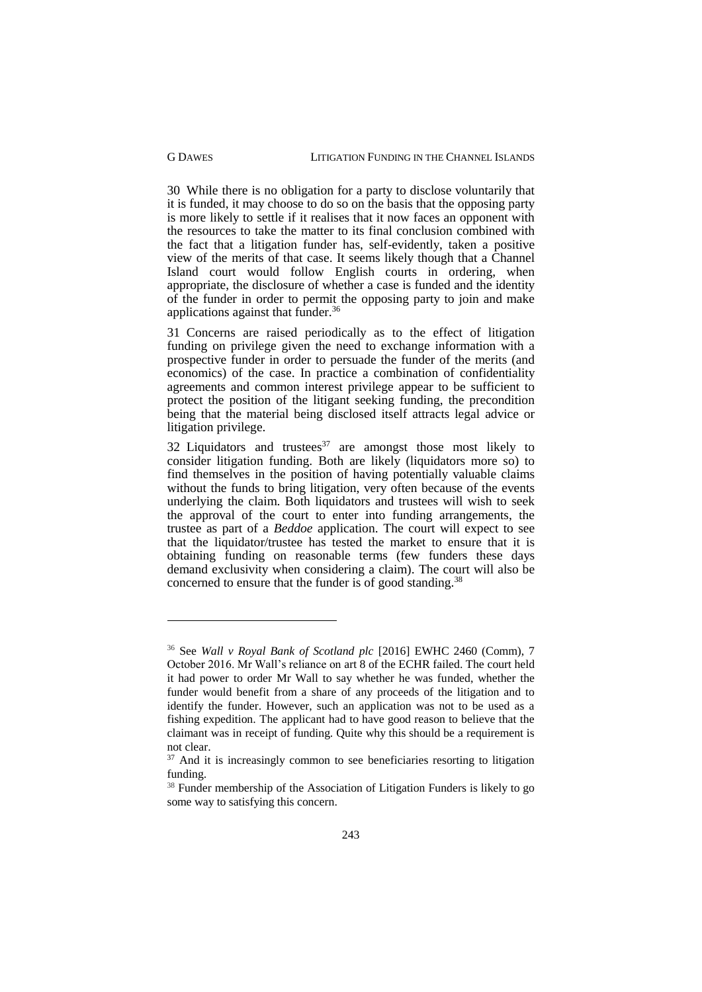1

30 While there is no obligation for a party to disclose voluntarily that it is funded, it may choose to do so on the basis that the opposing party is more likely to settle if it realises that it now faces an opponent with the resources to take the matter to its final conclusion combined with the fact that a litigation funder has, self-evidently, taken a positive view of the merits of that case. It seems likely though that a Channel Island court would follow English courts in ordering, when appropriate, the disclosure of whether a case is funded and the identity of the funder in order to permit the opposing party to join and make applications against that funder.<sup>36</sup>

31 Concerns are raised periodically as to the effect of litigation funding on privilege given the need to exchange information with a prospective funder in order to persuade the funder of the merits (and economics) of the case. In practice a combination of confidentiality agreements and common interest privilege appear to be sufficient to protect the position of the litigant seeking funding, the precondition being that the material being disclosed itself attracts legal advice or litigation privilege.

32 Liquidators and trustees $37$  are amongst those most likely to consider litigation funding. Both are likely (liquidators more so) to find themselves in the position of having potentially valuable claims without the funds to bring litigation, very often because of the events underlying the claim. Both liquidators and trustees will wish to seek the approval of the court to enter into funding arrangements, the trustee as part of a *Beddoe* application. The court will expect to see that the liquidator/trustee has tested the market to ensure that it is obtaining funding on reasonable terms (few funders these days demand exclusivity when considering a claim). The court will also be concerned to ensure that the funder is of good standing.<sup>38</sup>

<sup>36</sup> See *Wall v Royal Bank of Scotland plc* [2016] EWHC 2460 (Comm), 7 October 2016. Mr Wall's reliance on art 8 of the ECHR failed. The court held it had power to order Mr Wall to say whether he was funded, whether the funder would benefit from a share of any proceeds of the litigation and to identify the funder. However, such an application was not to be used as a fishing expedition. The applicant had to have good reason to believe that the claimant was in receipt of funding. Quite why this should be a requirement is not clear.

 $37$  And it is increasingly common to see beneficiaries resorting to litigation funding.

<sup>&</sup>lt;sup>38</sup> Funder membership of the Association of Litigation Funders is likely to go some way to satisfying this concern.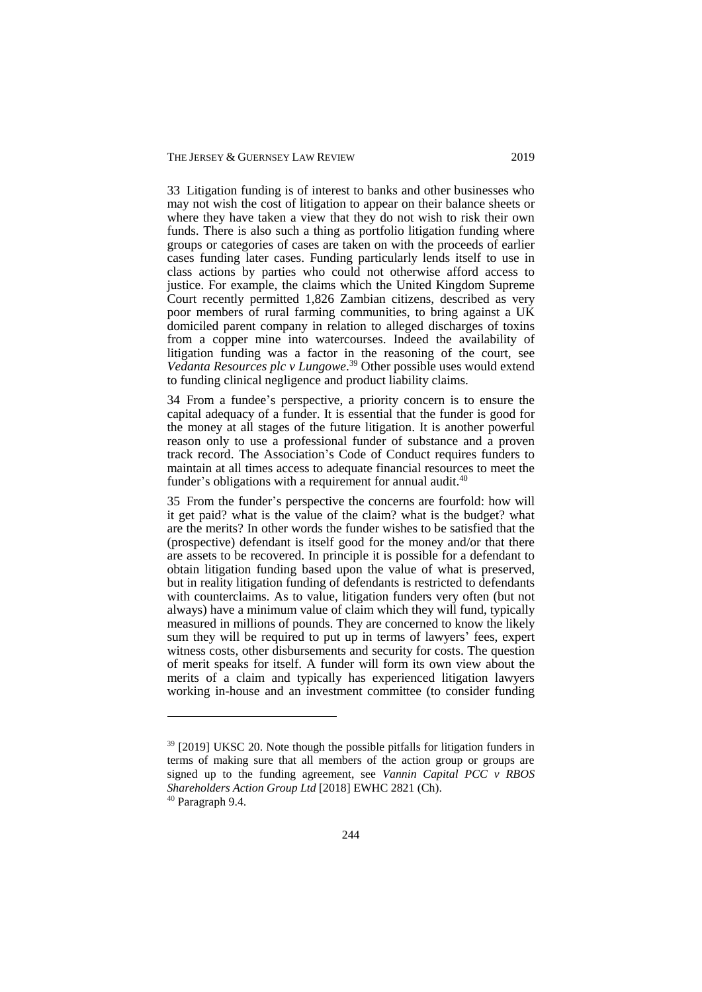33 Litigation funding is of interest to banks and other businesses who may not wish the cost of litigation to appear on their balance sheets or where they have taken a view that they do not wish to risk their own funds. There is also such a thing as portfolio litigation funding where groups or categories of cases are taken on with the proceeds of earlier cases funding later cases. Funding particularly lends itself to use in class actions by parties who could not otherwise afford access to justice. For example, the claims which the United Kingdom Supreme Court recently permitted 1,826 Zambian citizens, described as very poor members of rural farming communities, to bring against a UK domiciled parent company in relation to alleged discharges of toxins from a copper mine into watercourses. Indeed the availability of litigation funding was a factor in the reasoning of the court, see *Vedanta Resources plc v Lungowe*. <sup>39</sup> Other possible uses would extend to funding clinical negligence and product liability claims.

34 From a fundee's perspective, a priority concern is to ensure the capital adequacy of a funder. It is essential that the funder is good for the money at all stages of the future litigation. It is another powerful reason only to use a professional funder of substance and a proven track record. The Association's Code of Conduct requires funders to maintain at all times access to adequate financial resources to meet the funder's obligations with a requirement for annual audit.<sup>40</sup>

35 From the funder's perspective the concerns are fourfold: how will it get paid? what is the value of the claim? what is the budget? what are the merits? In other words the funder wishes to be satisfied that the (prospective) defendant is itself good for the money and/or that there are assets to be recovered. In principle it is possible for a defendant to obtain litigation funding based upon the value of what is preserved, but in reality litigation funding of defendants is restricted to defendants with counterclaims. As to value, litigation funders very often (but not always) have a minimum value of claim which they will fund, typically measured in millions of pounds. They are concerned to know the likely sum they will be required to put up in terms of lawyers' fees, expert witness costs, other disbursements and security for costs. The question of merit speaks for itself. A funder will form its own view about the merits of a claim and typically has experienced litigation lawyers working in-house and an investment committee (to consider funding

 $39$  [2019] UKSC 20. Note though the possible pitfalls for litigation funders in terms of making sure that all members of the action group or groups are signed up to the funding agreement, see *Vannin Capital PCC v RBOS Shareholders Action Group Ltd* [2018] EWHC 2821 (Ch).

<sup>40</sup> Paragraph 9.4.